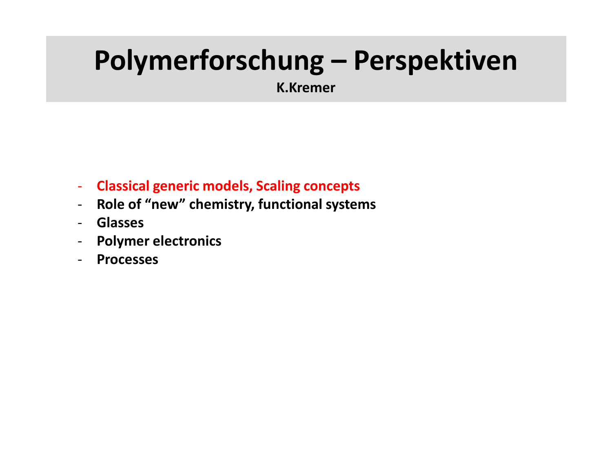# **Polymerforschung – Perspektiven K.Kremer**

- **Classical generic models, Scaling concepts**
- **Role of "new" chemistry, functional systems**
- **Glasses**
- **Polymer electronics**
- **Processes**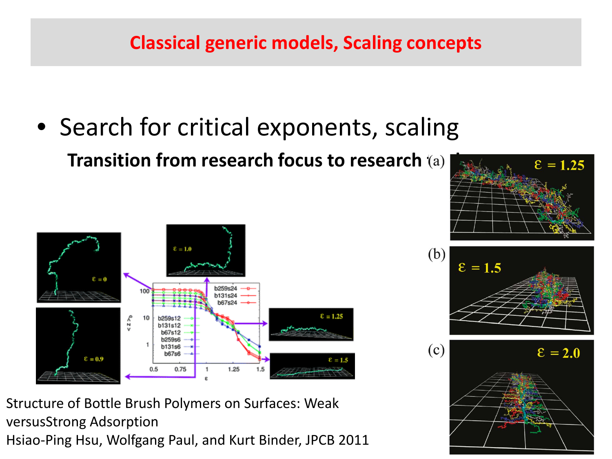### **Classical generic models, Scaling concepts**

• Search for critical exponents, scaling **Transition from research focus to research (a)** 



 $\epsilon = 1.25$ 



Structure of Bottle Brush Polymers on Surfaces: Weak versusStrong Adsorption

Hsiao-Ping Hsu, Wolfgang Paul, and Kurt Binder, JPCB 2011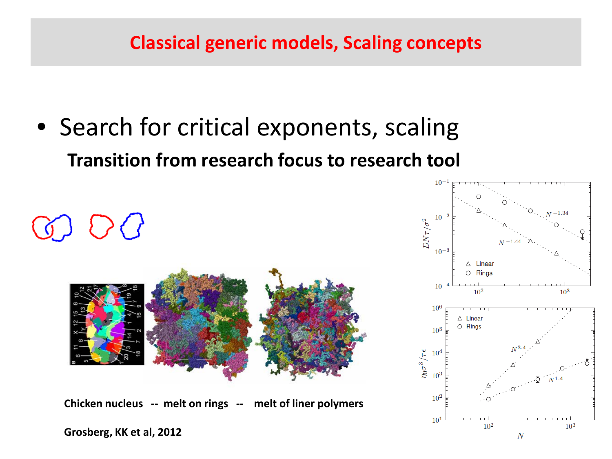### **Classical generic models, Scaling concepts**

• Search for critical exponents, scaling **Transition from research focus to research tool**



**Chicken nucleus -- melt on rings -- melt of liner polymers**

**Grosberg, KK et al, 2012**

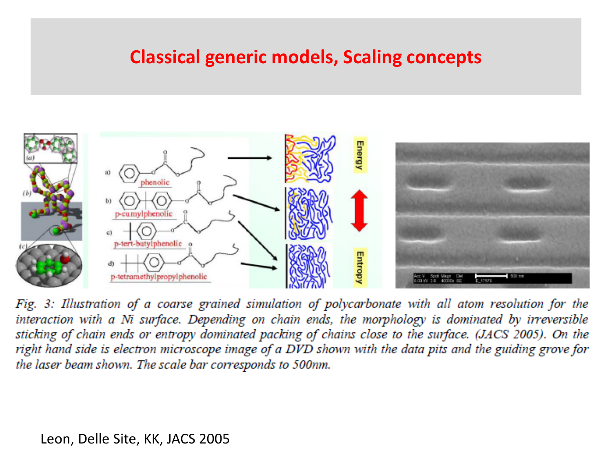#### **Classical generic models, Scaling concepts**



Fig. 3: Illustration of a coarse grained simulation of polycarbonate with all atom resolution for the interaction with a Ni surface. Depending on chain ends, the morphology is dominated by irreversible sticking of chain ends or entropy dominated packing of chains close to the surface. (JACS 2005). On the right hand side is electron microscope image of a DVD shown with the data pits and the guiding grove for the laser beam shown. The scale bar corresponds to 500nm.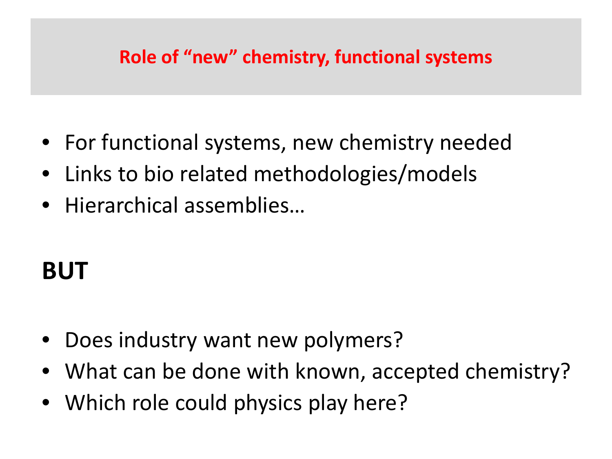### **Role of "new" chemistry, functional systems**

- For functional systems, new chemistry needed
- Links to bio related methodologies/models
- Hierarchical assemblies…

# **BUT**

- Does industry want new polymers?
- What can be done with known, accepted chemistry?
- Which role could physics play here?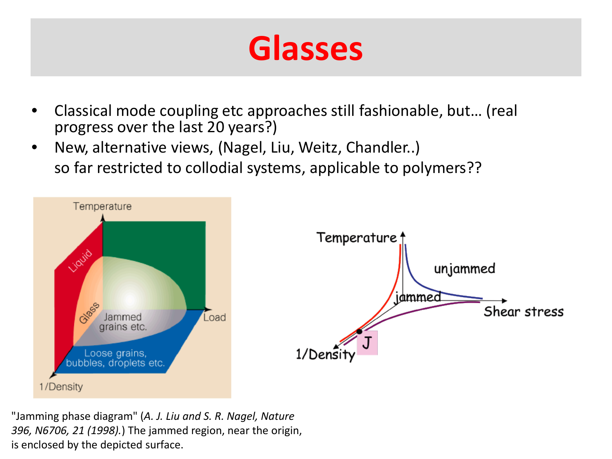# **Glasses**

- Classical mode coupling etc approaches still fashionable, but… (real progress over the last 20 years?)
- New, alternative views, (Nagel, Liu, Weitz, Chandler..) so far restricted to collodial systems, applicable to polymers??



"Jamming phase diagram" (*A. J. Liu and S. R. Nagel, Nature 396, N6706, 21 (1998).*) The jammed region, near the origin, is enclosed by the depicted surface.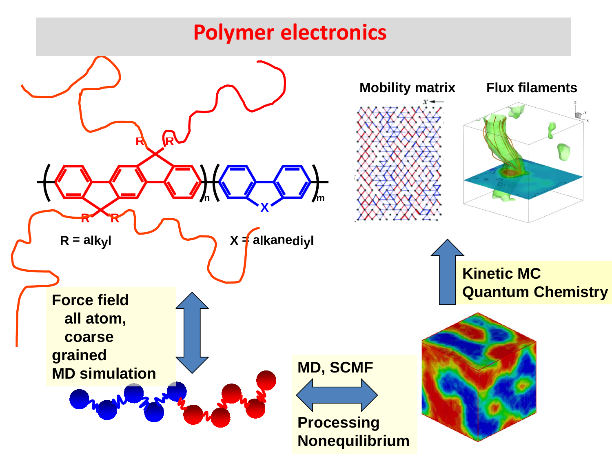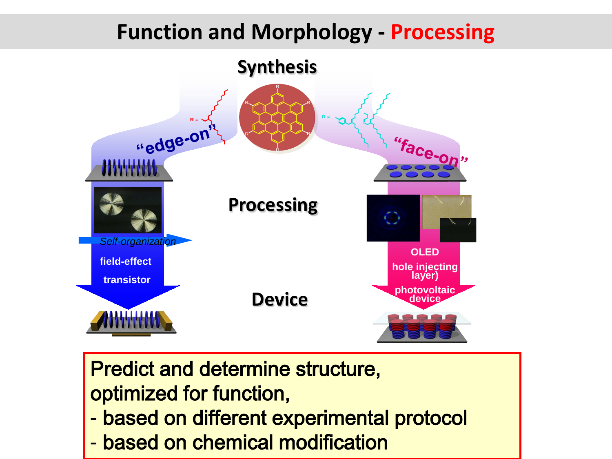# **Function and Morphology - Processing**



Predict and determine structure, optimized for function,

- based on different experimental protocol
- based on chemical modification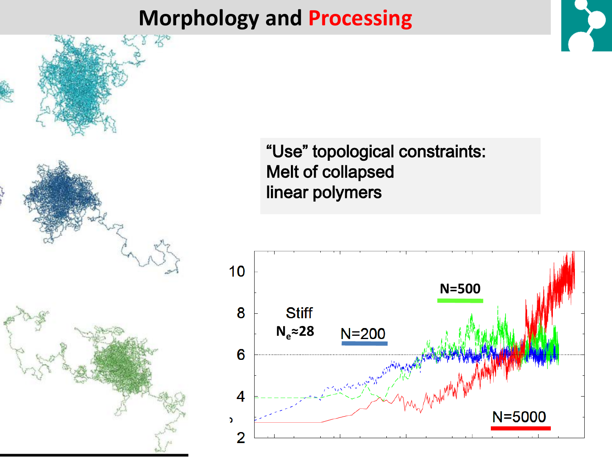# **Morphology and Processing**





"Use" topological constraints: Melt of collapsed linear polymers

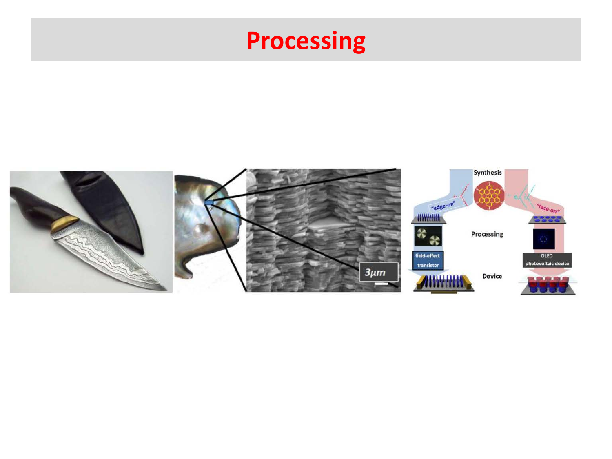# **Processing**